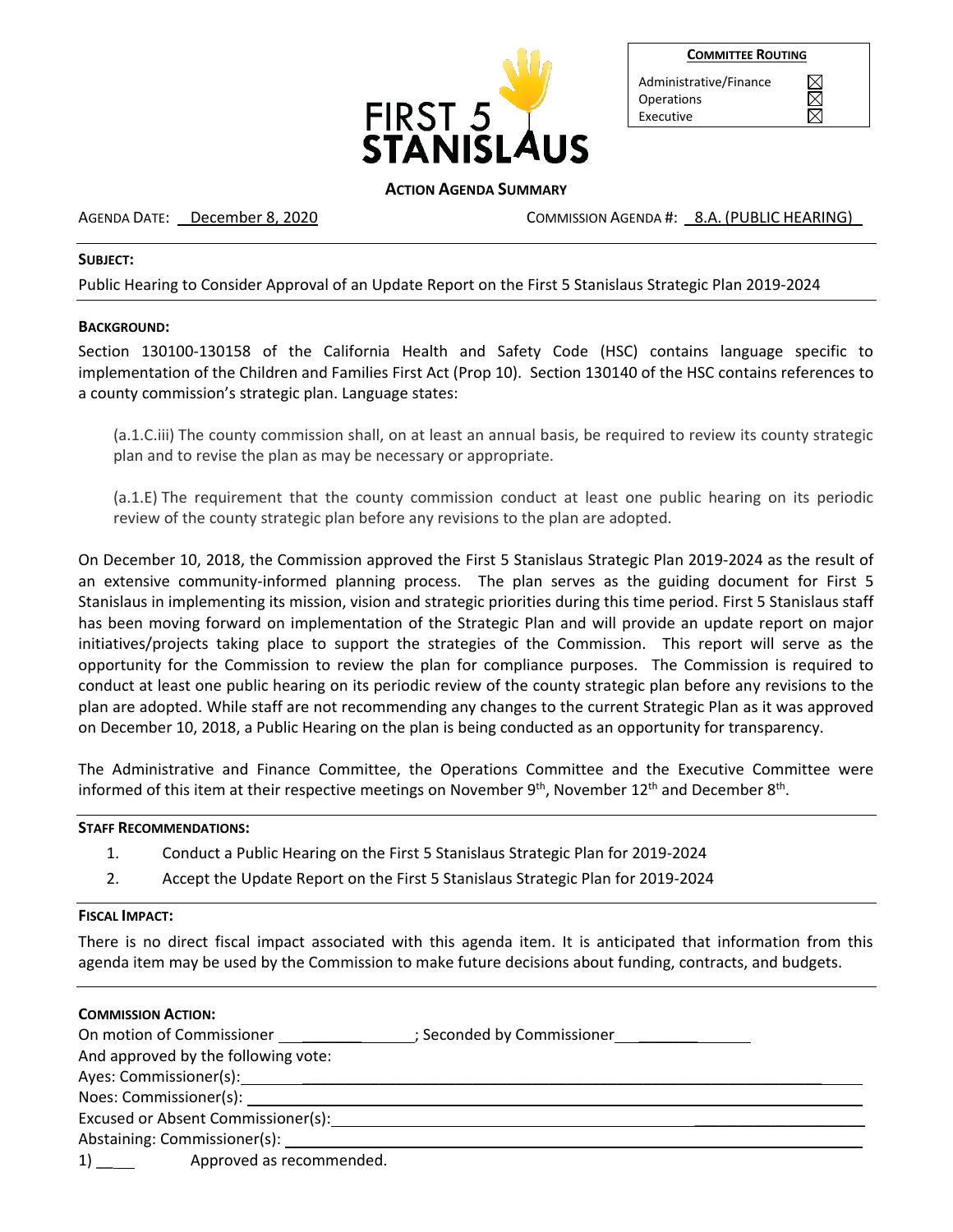

| <b>COMMITTEE ROUTING</b> |  |
|--------------------------|--|
|                          |  |

 $\boxtimes$ 

Administrative/Finance Operations Executive

# **ACTION AGENDA SUMMARY**

AGENDA DATE: December 8, 2020 COMMISSION AGENDA #: 8.A. (PUBLIC HEARING)

# **SUBJECT:**

Public Hearing to Consider Approval of an Update Report on the First 5 Stanislaus Strategic Plan 2019-2024

# **BACKGROUND:**

Section 130100-130158 of the California Health and Safety Code (HSC) contains language specific to implementation of the Children and Families First Act (Prop 10). Section 130140 of the HSC contains references to a county commission's strategic plan. Language states:

(a.1.C.iii) The county commission shall, on at least an annual basis, be required to review its county strategic plan and to revise the plan as may be necessary or appropriate.

(a.1.E) The requirement that the county commission conduct at least one public hearing on its periodic review of the county strategic plan before any revisions to the plan are adopted.

On December 10, 2018, the Commission approved the First 5 Stanislaus Strategic Plan 2019-2024 as the result of an extensive community-informed planning process. The plan serves as the guiding document for First 5 Stanislaus in implementing its mission, vision and strategic priorities during this time period. First 5 Stanislaus staff has been moving forward on implementation of the Strategic Plan and will provide an update report on major initiatives/projects taking place to support the strategies of the Commission. This report will serve as the opportunity for the Commission to review the plan for compliance purposes. The Commission is required to conduct at least one public hearing on its periodic review of the county strategic plan before any revisions to the plan are adopted. While staff are not recommending any changes to the current Strategic Plan as it was approved on December 10, 2018, a Public Hearing on the plan is being conducted as an opportunity for transparency.

The Administrative and Finance Committee, the Operations Committee and the Executive Committee were informed of this item at their respective meetings on November 9<sup>th</sup>, November 12<sup>th</sup> and December 8<sup>th</sup>.

### **STAFF RECOMMENDATIONS:**

- 1. Conduct a Public Hearing on the First 5 Stanislaus Strategic Plan for 2019-2024
- 2. Accept the Update Report on the First 5 Stanislaus Strategic Plan for 2019-2024

### **FISCAL IMPACT:**

There is no direct fiscal impact associated with this agenda item. It is anticipated that information from this agenda item may be used by the Commission to make future decisions about funding, contracts, and budgets.

| <b>COMMISSION ACTION:</b>                                                                         |                            |
|---------------------------------------------------------------------------------------------------|----------------------------|
| On motion of Commissioner                                                                         | ; Seconded by Commissioner |
| And approved by the following vote:                                                               |                            |
|                                                                                                   |                            |
| Noes: Commissioner(s): Noes: Noes: Noes: Noes: Noes: Noes: Noes: Noes: Noes: Noes: Noes: Noes: No |                            |
| Excused or Absent Commissioner(s):                                                                |                            |
| Abstaining: Commissioner(s):                                                                      |                            |
| Approved as recommended.                                                                          |                            |